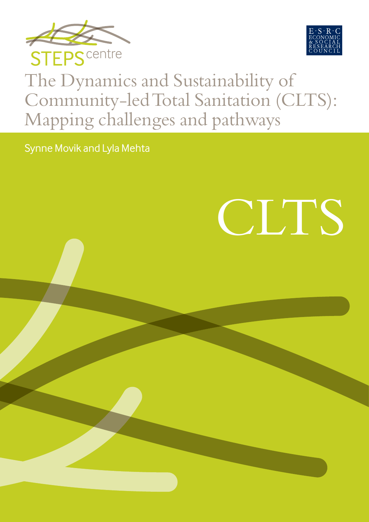



# The Dynamics and Sustainability of Community-led Total Sanitation (CLTS): Mapping challenges and pathways

Synne Movik and Lyla Mehta

# CLTS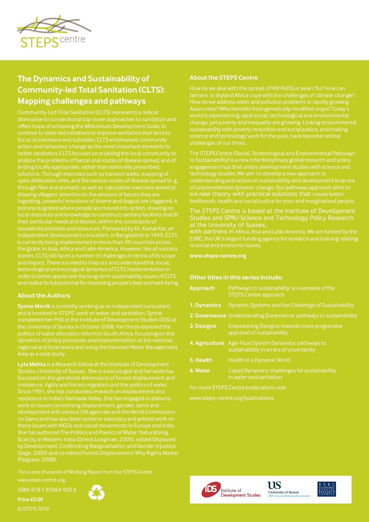

### **The Dynamics and Sustainability of Community-led Total Sanitation (CLTS): Mapping challenges and pathways**

Community-Led Total Sanitation (CLTS) represents a radical alternative to conventional top-down approaches to sanitation and offers hope of achieving the Millennium Development Goals. In finding locally appropriate, rather than externally prescribed, open defecation sites, and the various routes of disease spread (e. g. through flies and animals), as well as calculation exercises aimed at drawing villagers' attention to the amount of faeces they are ingesting,, powerful emotions of shame and disgust are triggered, A process is ignited where people are moved into action, drawing on household priorities and resources. Pioneered by Dr. Kamal Kar, an independent development consultant, in Bangladesh in 1999, CLTS the globe, in Asia, Africa and Latin America. However, like all success stories, CLTS still faces a number of challenges in terms of its scope and impact. There is a need to map out and understand the social, technological and ecological dynamics of CLTS implementation in order to better appreciate the long-term sustainability issues of CLTS and realise its full potential for improving people's lives and well-being.

#### **About the Authors**

**Synne Movik** is currently working as an independent consultant, the University of Sussex in October 2008. Her thesis explored the regional and local levels and using the Inkomati Water Management Area as a case study.

**Lyla Mehta** is a Research Fellow at the Institute of Development Studies, University of Sussex. She is a sociologist and her work has Since 1991, she has conducted research on displacement and resistance in India's Narmada Valley. She has engaged in advisory work on issues concerning displacement, gender, dams and development with various UN agencies and the World Commission She has authored The Politics and Poetics of Water: Naturalising by Development: Confronting Marginalisation and Gender Injustice (Sage, 2009) and co-edited Forced Displacement: Why Rights Matter

This is one of a series of Working Papers from the STEPS Centre

www.steps-centre.org.

ISBN-978 1 85864 905 6



#### **About the STEPS Centre**

How do we address water and pollution problems in rapidly growing world is experiencing rapid social, technological and environmental science and technology work for the poor, have become central

The STEPS Centre (Social, Technological and Environmental Pathways to Sustainability) is a new interdisciplinary global research and policy engagement hub that unites development studies with science and technology studies. We aim to develop a new approach to understanding and action on sustainability and development in an era of unprecedented dynamic change. Our pathways approach aims to link new theory with practical solutions that create better livelihoods, health and social justice for poor and marginalised people.

#### The STEPS Centre is based at the Institute of Development Studies and SPRU Science and Technology Policy Research

with partners in Africa, Asia and Latin America. We are funded by the to social and economic issues.

**www.steps-centre.org**

#### **Other titles in this series include:**

| <b>Approach</b> | Pathways to sustainability: an overview of the<br><b>STEPS Centre approach</b>                   |
|-----------------|--------------------------------------------------------------------------------------------------|
| 1. Dynamics     | Dynamic Systems and the Challenge of Sustainability                                              |
|                 | 2. Governance Understanding Governance: pathways to sustainability                               |
| 3. Designs      | <b>Empowering Designs: towards more progressive</b><br>appraisal of sustainability               |
|                 | 4. Agriculture Agri-Food System Dynamics: pathways to<br>sustainability in an era of uncertainty |
| 5. Health       | Health in a Dynamic World                                                                        |
| 6. Water        | Liquid Dynamics: challenges for sustainability<br>in water and sanitation                        |
|                 | For more STEPS Centre publications visit:                                                        |

www.steps-centre.org/publications







**Price £5.00** © STEPS 2010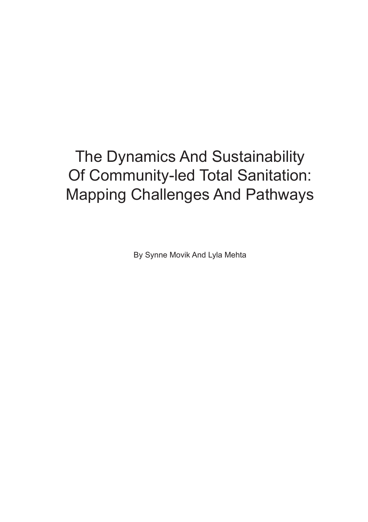## The Dynamics And Sustainability Of Community-led Total Sanitation: Mapping Challenges And Pathways

By Synne Movik And Lyla Mehta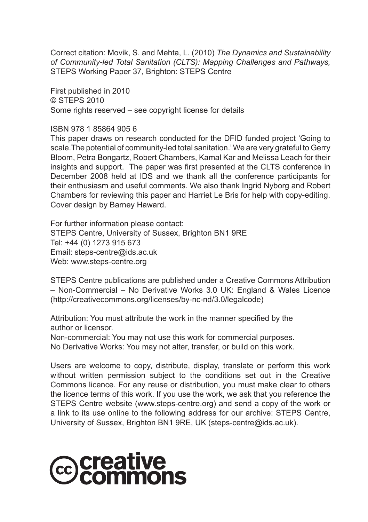Correct citation: Movik, S. and Mehta, L. (2010) *The Dynamics and Sustainability of Community-led Total Sanitation (CLTS): Mapping Challenges and Pathways,* STEPS Working Paper 37, Brighton: STEPS Centre

First published in 2010 © STEPS 2010 Some rights reserved – see copyright license for details

#### ISBN 978 1 85864 905 6

This paper draws on research conducted for the DFID funded project 'Going to scale.The potential of community-led total sanitation.' We are very grateful to Gerry Bloom, Petra Bongartz, Robert Chambers, Kamal Kar and Melissa Leach for their insights and support. The paper was first presented at the CLTS conference in December 2008 held at IDS and we thank all the conference participants for their enthusiasm and useful comments. We also thank Ingrid Nyborg and Robert Chambers for reviewing this paper and Harriet Le Bris for help with copy-editing. Cover design by Barney Haward.

For further information please contact: STEPS Centre, University of Sussex, Brighton BN1 9RE Tel: +44 (0) 1273 915 673 Email: steps-centre@ids.ac.uk Web: www.steps-centre.org

STEPS Centre publications are published under a Creative Commons Attribution – Non-Commercial – No Derivative Works 3.0 UK: England & Wales Licence (http://creativecommons.org/licenses/by-nc-nd/3.0/legalcode)

Attribution: You must attribute the work in the manner specified by the author or licensor.

Non-commercial: You may not use this work for commercial purposes. No Derivative Works: You may not alter, transfer, or build on this work.

Users are welcome to copy, distribute, display, translate or perform this work without written permission subject to the conditions set out in the Creative Commons licence. For any reuse or distribution, you must make clear to others the licence terms of this work. If you use the work, we ask that you reference the STEPS Centre website (www.steps-centre.org) and send a copy of the work or a link to its use online to the following address for our archive: STEPS Centre, University of Sussex, Brighton BN1 9RE, UK (steps-centre@ids.ac.uk).

# **@Creative**<br>©Commons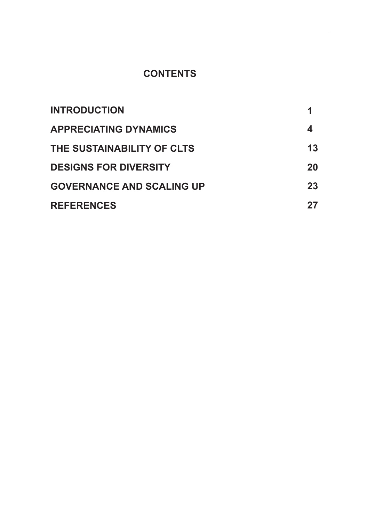#### **CONTENTS**

| <b>INTRODUCTION</b>              | 1  |
|----------------------------------|----|
| <b>APPRECIATING DYNAMICS</b>     |    |
| THE SUSTAINABILITY OF CLTS       | 13 |
| <b>DESIGNS FOR DIVERSITY</b>     | 20 |
| <b>GOVERNANCE AND SCALING UP</b> | 23 |
| <b>REFERENCES</b>                | 27 |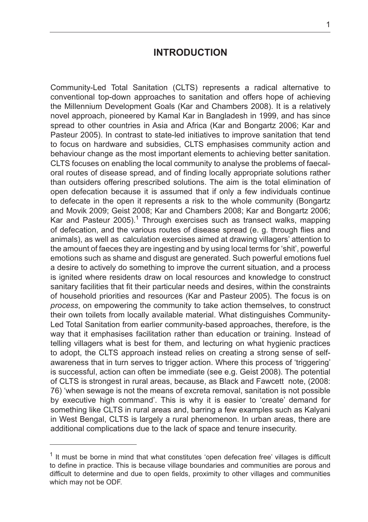#### **INTRODUCTION**

Community-Led Total Sanitation (CLTS) represents a radical alternative to conventional top-down approaches to sanitation and offers hope of achieving the Millennium Development Goals (Kar and Chambers 2008). It is a relatively novel approach, pioneered by Kamal Kar in Bangladesh in 1999, and has since spread to other countries in Asia and Africa (Kar and Bongartz 2006; Kar and Pasteur 2005). In contrast to state-led initiatives to improve sanitation that tend to focus on hardware and subsidies, CLTS emphasises community action and behaviour change as the most important elements to achieving better sanitation. CLTS focuses on enabling the local community to analyse the problems of faecaloral routes of disease spread, and of finding locally appropriate solutions rather than outsiders offering prescribed solutions. The aim is the total elimination of open defecation because it is assumed that if only a few individuals continue to defecate in the open it represents a risk to the whole community (Bongartz and Movik 2009; Geist 2008; Kar and Chambers 2008; Kar and Bongartz 2006; Kar and Pasteur 2005).<sup>1</sup> Through exercises such as transect walks, mapping of defecation, and the various routes of disease spread (e. g. through flies and animals), as well as calculation exercises aimed at drawing villagers' attention to the amount of faeces they are ingesting and by using local terms for 'shit', powerful emotions such as shame and disgust are generated. Such powerful emotions fuel a desire to actively do something to improve the current situation, and a process is ignited where residents draw on local resources and knowledge to construct sanitary facilities that fit their particular needs and desires, within the constraints of household priorities and resources (Kar and Pasteur 2005). The focus is on *process*, on empowering the community to take action themselves, to construct their own toilets from locally available material. What distinguishes Community-Led Total Sanitation from earlier community-based approaches, therefore, is the way that it emphasises facilitation rather than education or training. Instead of telling villagers what is best for them, and lecturing on what hygienic practices to adopt, the CLTS approach instead relies on creating a strong sense of selfawareness that in turn serves to trigger action. Where this process of 'triggering' is successful, action can often be immediate (see e.g. Geist 2008). The potential of CLTS is strongest in rural areas, because, as Black and Fawcett note, (2008: 76) 'when sewage is not the means of excreta removal, sanitation is not possible by executive high command'. This is why it is easier to 'create' demand for something like CLTS in rural areas and, barring a few examples such as Kalyani in West Bengal, CLTS is largely a rural phenomenon. In urban areas, there are additional complications due to the lack of space and tenure insecurity.

 $1$  It must be borne in mind that what constitutes 'open defecation free' villages is difficult to define in practice. This is because village boundaries and communities are porous and difficult to determine and due to open fields, proximity to other villages and communities which may not be ODF.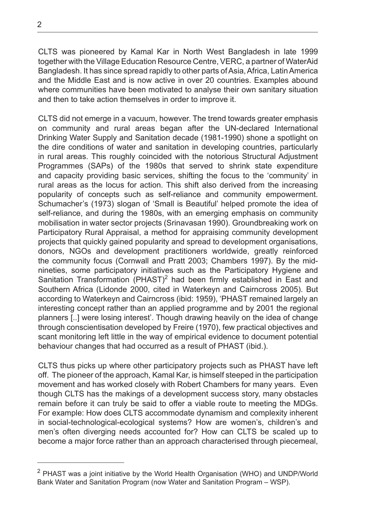CLTS was pioneered by Kamal Kar in North West Bangladesh in late 1999 together with the Village Education Resource Centre, VERC, a partner of WaterAid Bangladesh. It has since spread rapidly to other parts of Asia, Africa, Latin America and the Middle East and is now active in over 20 countries. Examples abound where communities have been motivated to analyse their own sanitary situation and then to take action themselves in order to improve it.

CLTS did not emerge in a vacuum, however. The trend towards greater emphasis on community and rural areas began after the UN-declared International Drinking Water Supply and Sanitation decade (1981-1990) shone a spotlight on the dire conditions of water and sanitation in developing countries, particularly in rural areas. This roughly coincided with the notorious Structural Adjustment Programmes (SAPs) of the 1980s that served to shrink state expenditure and capacity providing basic services, shifting the focus to the 'community' in rural areas as the locus for action. This shift also derived from the increasing popularity of concepts such as self-reliance and community empowerment. Schumacher's (1973) slogan of 'Small is Beautiful' helped promote the idea of self-reliance, and during the 1980s, with an emerging emphasis on community mobilisation in water sector projects (Srinavasan 1990). Groundbreaking work on Participatory Rural Appraisal, a method for appraising community development projects that quickly gained popularity and spread to development organisations, donors, NGOs and development practitioners worldwide, greatly reinforced the community focus (Cornwall and Pratt 2003; Chambers 1997). By the midnineties, some participatory initiatives such as the Participatory Hygiene and Sanitation Transformation (PHAST)<sup>2</sup> had been firmly established in East and Southern Africa (Lidonde 2000, cited in Waterkeyn and Cairncross 2005). But according to Waterkeyn and Cairncross (ibid: 1959), 'PHAST remained largely an interesting concept rather than an applied programme and by 2001 the regional planners [..] were losing interest'. Though drawing heavily on the idea of change through conscientisation developed by Freire (1970), few practical objectives and scant monitoring left little in the way of empirical evidence to document potential behaviour changes that had occurred as a result of PHAST (ibid.).

CLTS thus picks up where other participatory projects such as PHAST have left off. The pioneer of the approach, Kamal Kar, is himself steeped in the participation movement and has worked closely with Robert Chambers for many years. Even though CLTS has the makings of a development success story, many obstacles remain before it can truly be said to offer a viable route to meeting the MDGs. For example: How does CLTS accommodate dynamism and complexity inherent in social-technological-ecological systems? How are women's, children's and men's often diverging needs accounted for? How can CLTS be scaled up to become a major force rather than an approach characterised through piecemeal,

<sup>&</sup>lt;sup>2</sup> PHAST was a joint initiative by the World Health Organisation (WHO) and UNDP/World Bank Water and Sanitation Program (now Water and Sanitation Program – WSP).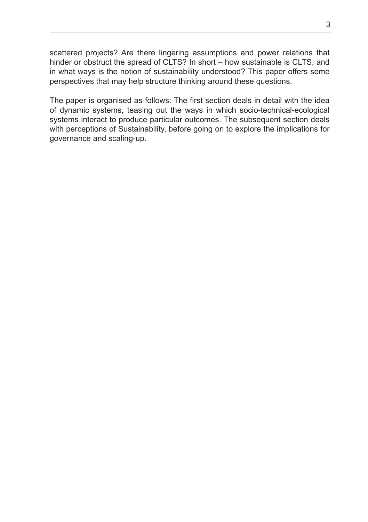scattered projects? Are there lingering assumptions and power relations that hinder or obstruct the spread of CLTS? In short – how sustainable is CLTS, and in what ways is the notion of sustainability understood? This paper offers some perspectives that may help structure thinking around these questions.

The paper is organised as follows: The first section deals in detail with the idea of dynamic systems, teasing out the ways in which socio-technical-ecological systems interact to produce particular outcomes. The subsequent section deals with perceptions of Sustainability, before going on to explore the implications for governance and scaling-up.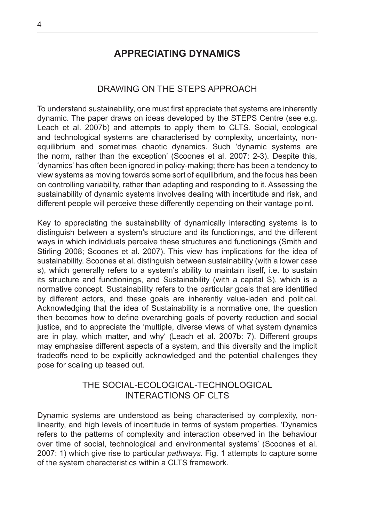#### **APPRECIATING DYNAMICS**

#### DRAWING ON THE STEPS APPROACH

To understand sustainability, one must first appreciate that systems are inherently dynamic. The paper draws on ideas developed by the STEPS Centre (see e.g. Leach et al. 2007b) and attempts to apply them to CLTS. Social, ecological and technological systems are characterised by complexity, uncertainty, nonequilibrium and sometimes chaotic dynamics. Such 'dynamic systems are the norm, rather than the exception' (Scoones et al. 2007: 2-3). Despite this, 'dynamics' has often been ignored in policy-making; there has been a tendency to view systems as moving towards some sort of equilibrium, and the focus has been on controlling variability, rather than adapting and responding to it. Assessing the sustainability of dynamic systems involves dealing with incertitude and risk, and different people will perceive these differently depending on their vantage point.

Key to appreciating the sustainability of dynamically interacting systems is to distinguish between a system's structure and its functionings, and the different ways in which individuals perceive these structures and functionings (Smith and Stirling 2008; Scoones et al. 2007). This view has implications for the idea of sustainability. Scoones et al. distinguish between sustainability (with a lower case s), which generally refers to a system's ability to maintain itself, i.e. to sustain its structure and functionings, and Sustainability (with a capital S), which is a normative concept. Sustainability refers to the particular goals that are identified by different actors, and these goals are inherently value-laden and political. Acknowledging that the idea of Sustainability is a normative one, the question then becomes how to define overarching goals of poverty reduction and social justice, and to appreciate the 'multiple, diverse views of what system dynamics are in play, which matter, and why' (Leach et al. 2007b: 7). Different groups may emphasise different aspects of a system, and this diversity and the implicit tradeoffs need to be explicitly acknowledged and the potential challenges they pose for scaling up teased out.

#### THE SOCIAL-ECOLOGICAL-TECHNOLOGICAL INTERACTIONS OF CLTS

Dynamic systems are understood as being characterised by complexity, nonlinearity, and high levels of incertitude in terms of system properties. 'Dynamics refers to the patterns of complexity and interaction observed in the behaviour over time of social, technological and environmental systems' (Scoones et al. 2007: 1) which give rise to particular *pathways*. Fig. 1 attempts to capture some of the system characteristics within a CLTS framework.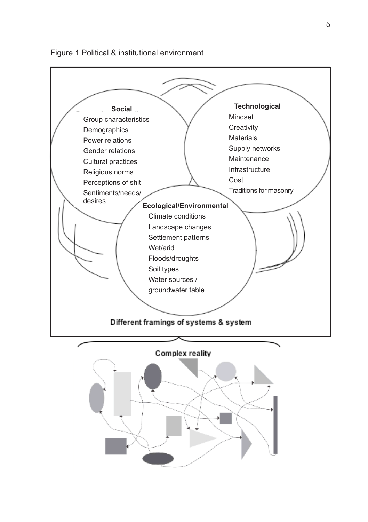

Figure 1 Political & institutional environment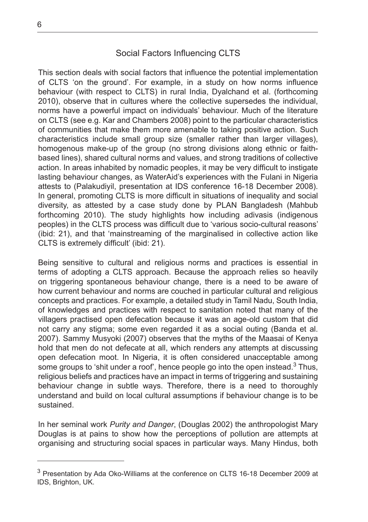#### Social Factors Influencing CLTS

This section deals with social factors that influence the potential implementation of CLTS 'on the ground'. For example, in a study on how norms influence behaviour (with respect to CLTS) in rural India, Dyalchand et al. (forthcoming 2010), observe that in cultures where the collective supersedes the individual, norms have a powerful impact on individuals' behaviour. Much of the literature on CLTS (see e.g. Kar and Chambers 2008) point to the particular characteristics of communities that make them more amenable to taking positive action. Such characteristics include small group size (smaller rather than larger villages), homogenous make-up of the group (no strong divisions along ethnic or faithbased lines), shared cultural norms and values, and strong traditions of collective action. In areas inhabited by nomadic peoples, it may be very difficult to instigate lasting behaviour changes, as WaterAid's experiences with the Fulani in Nigeria attests to (Palakudiyil, presentation at IDS conference 16-18 December 2008). In general, promoting CLTS is more difficult in situations of inequality and social diversity, as attested by a case study done by PLAN Bangladesh (Mahbub forthcoming 2010). The study highlights how including adivasis (indigenous peoples) in the CLTS process was difficult due to 'various socio-cultural reasons' (ibid: 21), and that 'mainstreaming of the marginalised in collective action like CLTS is extremely difficult' (ibid: 21).

Being sensitive to cultural and religious norms and practices is essential in terms of adopting a CLTS approach. Because the approach relies so heavily on triggering spontaneous behaviour change, there is a need to be aware of how current behaviour and norms are couched in particular cultural and religious concepts and practices. For example, a detailed study in Tamil Nadu, South India, of knowledges and practices with respect to sanitation noted that many of the villagers practised open defecation because it was an age-old custom that did not carry any stigma; some even regarded it as a social outing (Banda et al. 2007). Sammy Musyoki (2007) observes that the myths of the Maasai of Kenya hold that men do not defecate at all, which renders any attempts at discussing open defecation moot. In Nigeria, it is often considered unacceptable among some groups to 'shit under a roof', hence people go into the open instead. $3$  Thus, religious beliefs and practices have an impact in terms of triggering and sustaining behaviour change in subtle ways. Therefore, there is a need to thoroughly understand and build on local cultural assumptions if behaviour change is to be sustained.

In her seminal work *Purity and Danger*, (Douglas 2002) the anthropologist Mary Douglas is at pains to show how the perceptions of pollution are attempts at organising and structuring social spaces in particular ways. Many Hindus, both

<sup>&</sup>lt;sup>3</sup> Presentation by Ada Oko-Williams at the conference on CLTS 16-18 December 2009 at IDS, Brighton, UK.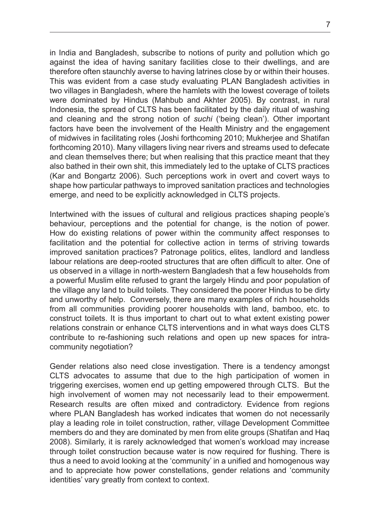in India and Bangladesh, subscribe to notions of purity and pollution which go against the idea of having sanitary facilities close to their dwellings, and are therefore often staunchly averse to having latrines close by or within their houses. This was evident from a case study evaluating PLAN Bangladesh activities in two villages in Bangladesh, where the hamlets with the lowest coverage of toilets were dominated by Hindus (Mahbub and Akhter 2005). By contrast, in rural Indonesia, the spread of CLTS has been facilitated by the daily ritual of washing and cleaning and the strong notion of *suchi* ('being clean'). Other important factors have been the involvement of the Health Ministry and the engagement of midwives in facilitating roles (Joshi forthcoming 2010; Mukherjee and Shatifan forthcoming 2010). Many villagers living near rivers and streams used to defecate and clean themselves there; but when realising that this practice meant that they also bathed in their own shit, this immediately led to the uptake of CLTS practices (Kar and Bongartz 2006). Such perceptions work in overt and covert ways to shape how particular pathways to improved sanitation practices and technologies emerge, and need to be explicitly acknowledged in CLTS projects.

Intertwined with the issues of cultural and religious practices shaping people's behaviour, perceptions and the potential for change, is the notion of power. How do existing relations of power within the community affect responses to facilitation and the potential for collective action in terms of striving towards improved sanitation practices? Patronage politics, elites, landlord and landless labour relations are deep-rooted structures that are often difficult to alter. One of us observed in a village in north-western Bangladesh that a few households from a powerful Muslim elite refused to grant the largely Hindu and poor population of the village any land to build toilets. They considered the poorer Hindus to be dirty and unworthy of help. Conversely, there are many examples of rich households from all communities providing poorer households with land, bamboo, etc. to construct toilets. It is thus important to chart out to what extent existing power relations constrain or enhance CLTS interventions and in what ways does CLTS contribute to re-fashioning such relations and open up new spaces for intracommunity negotiation?

Gender relations also need close investigation. There is a tendency amongst CLTS advocates to assume that due to the high participation of women in triggering exercises, women end up getting empowered through CLTS. But the high involvement of women may not necessarily lead to their empowerment. Research results are often mixed and contradictory. Evidence from regions where PLAN Bangladesh has worked indicates that women do not necessarily play a leading role in toilet construction, rather, village Development Committee members do and they are dominated by men from elite groups (Shatifan and Haq 2008). Similarly, it is rarely acknowledged that women's workload may increase through toilet construction because water is now required for flushing. There is thus a need to avoid looking at the 'community' in a unified and homogenous way and to appreciate how power constellations, gender relations and 'community identities' vary greatly from context to context.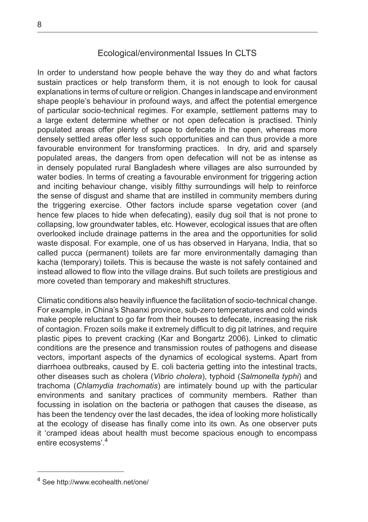#### Ecological/environmental Issues In CLTS

In order to understand how people behave the way they do and what factors sustain practices or help transform them, it is not enough to look for causal explanations in terms of culture or religion. Changes in landscape and environment shape people's behaviour in profound ways, and affect the potential emergence of particular socio-technical regimes. For example, settlement patterns may to a large extent determine whether or not open defecation is practised. Thinly populated areas offer plenty of space to defecate in the open, whereas more densely settled areas offer less such opportunities and can thus provide a more favourable environment for transforming practices. In dry, arid and sparsely populated areas, the dangers from open defecation will not be as intense as in densely populated rural Bangladesh where villages are also surrounded by water bodies. In terms of creating a favourable environment for triggering action and inciting behaviour change, visibly filthy surroundings will help to reinforce the sense of disgust and shame that are instilled in community members during the triggering exercise. Other factors include sparse vegetation cover (and hence few places to hide when defecating), easily dug soil that is not prone to collapsing, low groundwater tables, etc. However, ecological issues that are often overlooked include drainage patterns in the area and the opportunities for solid waste disposal. For example, one of us has observed in Haryana, India, that so called pucca (permanent) toilets are far more environmentally damaging than kacha (temporary) toilets. This is because the waste is not safely contained and instead allowed to flow into the village drains. But such toilets are prestigious and more coveted than temporary and makeshift structures.

Climatic conditions also heavily influence the facilitation of socio-technical change. For example, in China's Shaanxi province, sub-zero temperatures and cold winds make people reluctant to go far from their houses to defecate, increasing the risk of contagion. Frozen soils make it extremely difficult to dig pit latrines, and require plastic pipes to prevent cracking (Kar and Bongartz 2006). Linked to climatic conditions are the presence and transmission routes of pathogens and disease vectors, important aspects of the dynamics of ecological systems. Apart from diarrhoea outbreaks, caused by E. coli bacteria getting into the intestinal tracts, other diseases such as cholera (*Vibrio cholera*), typhoid (*Salmonella typhi*) and trachoma (*Chlamydia trachomatis*) are intimately bound up with the particular environments and sanitary practices of community members. Rather than focussing in isolation on the bacteria or pathogen that causes the disease, as has been the tendency over the last decades, the idea of looking more holistically at the ecology of disease has finally come into its own. As one observer puts it 'cramped ideas about health must become spacious enough to encompass entire ecosystems'.<sup>4</sup>

<sup>&</sup>lt;sup>4</sup> See http://www.ecohealth.net/one/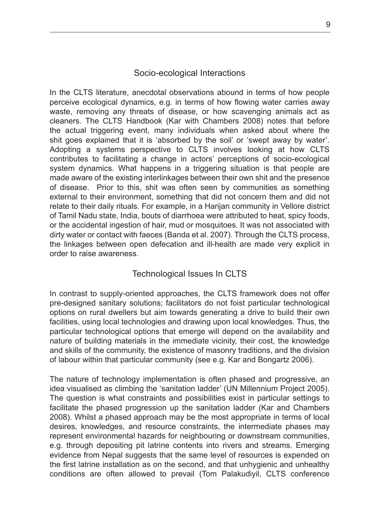#### Socio-ecological Interactions

In the CLTS literature, anecdotal observations abound in terms of how people perceive ecological dynamics, e.g. in terms of how flowing water carries away waste, removing any threats of disease, or how scavenging animals act as cleaners. The CLTS Handbook (Kar with Chambers 2008) notes that before the actual triggering event, many individuals when asked about where the shit goes explained that it is 'absorbed by the soil' or 'swept away by water'. Adopting a systems perspective to CLTS involves looking at how CLTS contributes to facilitating a change in actors' perceptions of socio-ecological system dynamics. What happens in a triggering situation is that people are made aware of the existing interlinkages between their own shit and the presence of disease. Prior to this, shit was often seen by communities as something external to their environment, something that did not concern them and did not relate to their daily rituals. For example, in a Harijan community in Vellore district of Tamil Nadu state, India, bouts of diarrhoea were attributed to heat, spicy foods, or the accidental ingestion of hair, mud or mosquitoes. It was not associated with dirty water or contact with faeces (Banda et al. 2007). Through the CLTS process, the linkages between open defecation and ill-health are made very explicit in order to raise awareness.

#### Technological Issues In CLTS

In contrast to supply-oriented approaches, the CLTS framework does not offer pre-designed sanitary solutions; facilitators do not foist particular technological options on rural dwellers but aim towards generating a drive to build their own facilities, using local technologies and drawing upon local knowledges. Thus, the particular technological options that emerge will depend on the availability and nature of building materials in the immediate vicinity, their cost, the knowledge and skills of the community, the existence of masonry traditions, and the division of labour within that particular community (see e.g. Kar and Bongartz 2006).

The nature of technology implementation is often phased and progressive, an idea visualised as climbing the 'sanitation ladder' (UN Millennium Project 2005). The question is what constraints and possibilities exist in particular settings to facilitate the phased progression up the sanitation ladder (Kar and Chambers 2008). Whilst a phased approach may be the most appropriate in terms of local desires, knowledges, and resource constraints, the intermediate phases may represent environmental hazards for neighbouring or downstream communities, e.g. through depositing pit latrine contents into rivers and streams. Emerging evidence from Nepal suggests that the same level of resources is expended on the first latrine installation as on the second, and that unhygienic and unhealthy conditions are often allowed to prevail (Tom Palakudiyil, CLTS conference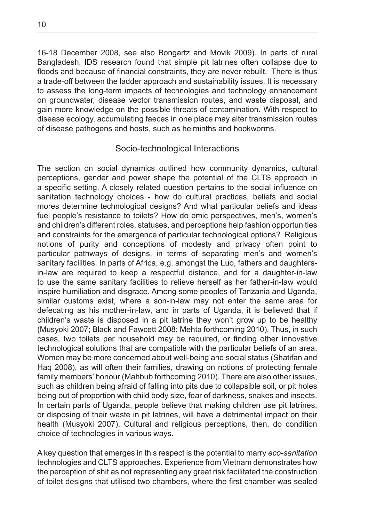16-18 December 2008, see also Bongartz and Movik 2009). In parts of rural Bangladesh, IDS research found that simple pit latrines often collapse due to floods and because of financial constraints, they are never rebuilt. There is thus a trade-off between the ladder approach and sustainability issues. It is necessary to assess the long-term impacts of technologies and technology enhancement on groundwater, disease vector transmission routes, and waste disposal, and gain more knowledge on the possible threats of contamination. With respect to disease ecology, accumulating faeces in one place may alter transmission routes of disease pathogens and hosts, such as helminths and hookworms.

#### Socio-technological Interactions

The section on social dynamics outlined how community dynamics, cultural perceptions, gender and power shape the potential of the CLTS approach in a specific setting. A closely related question pertains to the social influence on sanitation technology choices - how do cultural practices, beliefs and social mores determine technological designs? And what particular beliefs and ideas fuel people's resistance to toilets? How do emic perspectives, men's, women's and children's different roles, statuses, and perceptions help fashion opportunities and constraints for the emergence of particular technological options? Religious notions of purity and conceptions of modesty and privacy often point to particular pathways of designs, in terms of separating men's and women's sanitary facilities. In parts of Africa, e.g. amongst the Luo, fathers and daughtersin-law are required to keep a respectful distance, and for a daughter-in-law to use the same sanitary facilities to relieve herself as her father-in-law would inspire humiliation and disgrace. Among some peoples of Tanzania and Uganda, similar customs exist, where a son-in-law may not enter the same area for defecating as his mother-in-law, and in parts of Uganda, it is believed that if children's waste is disposed in a pit latrine they won't grow up to be healthy (Musyoki 2007; Black and Fawcett 2008; Mehta forthcoming 2010). Thus, in such cases, two toilets per household may be required, or finding other innovative technological solutions that are compatible with the particular beliefs of an area. Women may be more concerned about well-being and social status (Shatifan and Haq 2008), as will often their families, drawing on notions of protecting female family members' honour (Mahbub forthcoming 2010). There are also other issues, such as children being afraid of falling into pits due to collapsible soil, or pit holes being out of proportion with child body size, fear of darkness, snakes and insects. In certain parts of Uganda, people believe that making children use pit latrines, or disposing of their waste in pit latrines, will have a detrimental impact on their health (Musyoki 2007). Cultural and religious perceptions, then, do condition choice of technologies in various ways.

A key question that emerges in this respect is the potential to marry *eco-sanitation* technologies and CLTS approaches. Experience from Vietnam demonstrates how the perception of shit as not representing any great risk facilitated the construction of toilet designs that utilised two chambers, where the first chamber was sealed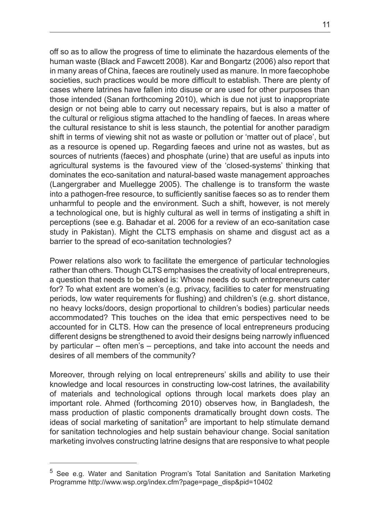off so as to allow the progress of time to eliminate the hazardous elements of the human waste (Black and Fawcett 2008). Kar and Bongartz (2006) also report that in many areas of China, faeces are routinely used as manure. In more faecophobe societies, such practices would be more difficult to establish. There are plenty of cases where latrines have fallen into disuse or are used for other purposes than those intended (Sanan forthcoming 2010), which is due not just to inappropriate design or not being able to carry out necessary repairs, but is also a matter of the cultural or religious stigma attached to the handling of faeces. In areas where the cultural resistance to shit is less staunch, the potential for another paradigm shift in terms of viewing shit not as waste or pollution or 'matter out of place', but as a resource is opened up. Regarding faeces and urine not as wastes, but as sources of nutrients (faeces) and phosphate (urine) that are useful as inputs into agricultural systems is the favoured view of the 'closed-systems' thinking that dominates the eco-sanitation and natural-based waste management approaches (Langergraber and Muellegge 2005). The challenge is to transform the waste into a pathogen-free resource, to sufficiently sanitise faeces so as to render them unharmful to people and the environment. Such a shift, however, is not merely a technological one, but is highly cultural as well in terms of instigating a shift in perceptions (see e.g. Bahadar et al. 2006 for a review of an eco-sanitation case study in Pakistan). Might the CLTS emphasis on shame and disgust act as a barrier to the spread of eco-sanitation technologies?

Power relations also work to facilitate the emergence of particular technologies rather than others. Though CLTS emphasises the creativity of local entrepreneurs, a question that needs to be asked is: Whose needs do such entrepreneurs cater for? To what extent are women's (e.g. privacy, facilities to cater for menstruating periods, low water requirements for flushing) and children's (e.g. short distance, no heavy locks/doors, design proportional to children's bodies) particular needs accommodated? This touches on the idea that emic perspectives need to be accounted for in CLTS. How can the presence of local entrepreneurs producing different designs be strengthened to avoid their designs being narrowly influenced by particular – often men's – perceptions, and take into account the needs and desires of all members of the community?

Moreover, through relying on local entrepreneurs' skills and ability to use their knowledge and local resources in constructing low-cost latrines, the availability of materials and technological options through local markets does play an important role. Ahmed (forthcoming 2010) observes how, in Bangladesh, the mass production of plastic components dramatically brought down costs. The ideas of social marketing of sanitation<sup>5</sup> are important to help stimulate demand for sanitation technologies and help sustain behaviour change. Social sanitation marketing involves constructing latrine designs that are responsive to what people

<sup>&</sup>lt;sup>5</sup> See e.g. Water and Sanitation Program's Total Sanitation and Sanitation Marketing Programme http://www.wsp.org/index.cfm?page=page\_disp&pid=10402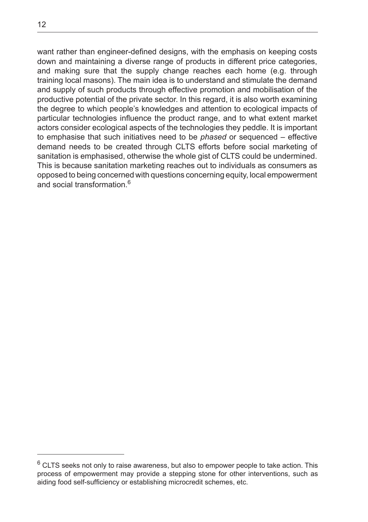want rather than engineer-defined designs, with the emphasis on keeping costs down and maintaining a diverse range of products in different price categories, and making sure that the supply change reaches each home (e.g. through training local masons). The main idea is to understand and stimulate the demand and supply of such products through effective promotion and mobilisation of the productive potential of the private sector. In this regard, it is also worth examining the degree to which people's knowledges and attention to ecological impacts of particular technologies influence the product range, and to what extent market actors consider ecological aspects of the technologies they peddle. It is important to emphasise that such initiatives need to be *phased* or sequenced – effective demand needs to be created through CLTS efforts before social marketing of sanitation is emphasised, otherwise the whole gist of CLTS could be undermined. This is because sanitation marketing reaches out to individuals as consumers as opposed to being concerned with questions concerning equity, local empowerment and social transformation  $6$ 

 $^6$  CLTS seeks not only to raise awareness, but also to empower people to take action. This process of empowerment may provide a stepping stone for other interventions, such as aiding food self-sufficiency or establishing microcredit schemes, etc.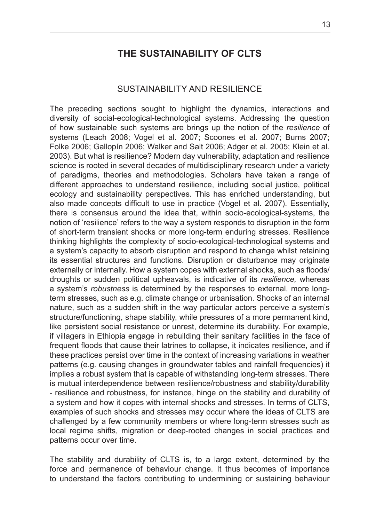#### **THE SUSTAINABILITY OF CLTS**

#### SUSTAINABILITY AND RESILIENCE

The preceding sections sought to highlight the dynamics, interactions and diversity of social-ecological-technological systems. Addressing the question of how sustainable such systems are brings up the notion of the *resilience* of systems (Leach 2008; Vogel et al. 2007; Scoones et al. 2007; Burns 2007; Folke 2006; Gallopín 2006; Walker and Salt 2006; Adger et al. 2005; Klein et al. 2003). But what is resilience? Modern day vulnerability, adaptation and resilience science is rooted in several decades of multidisciplinary research under a variety of paradigms, theories and methodologies. Scholars have taken a range of different approaches to understand resilience, including social justice, political ecology and sustainability perspectives. This has enriched understanding, but also made concepts difficult to use in practice (Vogel et al. 2007). Essentially, there is consensus around the idea that, within socio-ecological-systems, the notion of 'resilience' refers to the way a system responds to disruption in the form of short-term transient shocks or more long-term enduring stresses. Resilience thinking highlights the complexity of socio-ecological-technological systems and a system's capacity to absorb disruption and respond to change whilst retaining its essential structures and functions. Disruption or disturbance may originate externally or internally. How a system copes with external shocks, such as floods/ droughts or sudden political upheavals, is indicative of its *resilience,* whereas a system's *robustness* is determined by the responses to external, more longterm stresses, such as e.g. climate change or urbanisation. Shocks of an internal nature, such as a sudden shift in the way particular actors perceive a system's structure/functioning, shape stability, while pressures of a more permanent kind, like persistent social resistance or unrest, determine its durability. For example, if villagers in Ethiopia engage in rebuilding their sanitary facilities in the face of frequent floods that cause their latrines to collapse, it indicates resilience, and if these practices persist over time in the context of increasing variations in weather patterns (e.g. causing changes in groundwater tables and rainfall frequencies) it implies a robust system that is capable of withstanding long-term stresses. There is mutual interdependence between resilience/robustness and stability/durability - resilience and robustness, for instance, hinge on the stability and durability of a system and how it copes with internal shocks and stresses. In terms of CLTS, examples of such shocks and stresses may occur where the ideas of CLTS are challenged by a few community members or where long-term stresses such as local regime shifts, migration or deep-rooted changes in social practices and patterns occur over time.

The stability and durability of CLTS is, to a large extent, determined by the force and permanence of behaviour change. It thus becomes of importance to understand the factors contributing to undermining or sustaining behaviour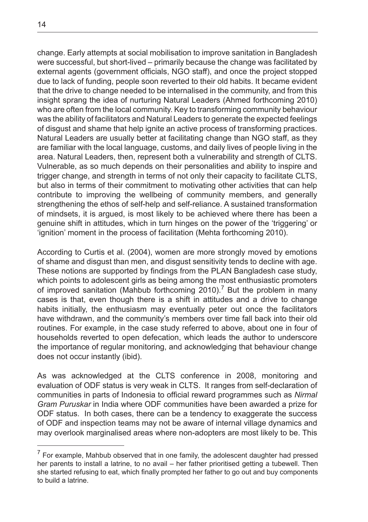change. Early attempts at social mobilisation to improve sanitation in Bangladesh were successful, but short-lived – primarily because the change was facilitated by external agents (government officials, NGO staff), and once the project stopped due to lack of funding, people soon reverted to their old habits. It became evident that the drive to change needed to be internalised in the community, and from this insight sprang the idea of nurturing Natural Leaders (Ahmed forthcoming 2010) who are often from the local community. Key to transforming community behaviour was the ability of facilitators and Natural Leaders to generate the expected feelings of disgust and shame that help ignite an active process of transforming practices. Natural Leaders are usually better at facilitating change than NGO staff, as they are familiar with the local language, customs, and daily lives of people living in the area. Natural Leaders, then, represent both a vulnerability and strength of CLTS. Vulnerable, as so much depends on their personalities and ability to inspire and trigger change, and strength in terms of not only their capacity to facilitate CLTS, but also in terms of their commitment to motivating other activities that can help contribute to improving the wellbeing of community members, and generally strengthening the ethos of self-help and self-reliance. A sustained transformation of mindsets, it is argued, is most likely to be achieved where there has been a genuine shift in attitudes, which in turn hinges on the power of the 'triggering' or 'ignition' moment in the process of facilitation (Mehta forthcoming 2010).

According to Curtis et al. (2004), women are more strongly moved by emotions of shame and disgust than men, and disgust sensitivity tends to decline with age. These notions are supported by findings from the PLAN Bangladesh case study, which points to adolescent girls as being among the most enthusiastic promoters of improved sanitation (Mahbub forthcoming 2010).<sup>7</sup> But the problem in many cases is that, even though there is a shift in attitudes and a drive to change habits initially, the enthusiasm may eventually peter out once the facilitators have withdrawn, and the community's members over time fall back into their old routines. For example, in the case study referred to above, about one in four of households reverted to open defecation, which leads the author to underscore the importance of regular monitoring, and acknowledging that behaviour change does not occur instantly (ibid).

As was acknowledged at the CLTS conference in 2008, monitoring and evaluation of ODF status is very weak in CLTS. It ranges from self-declaration of communities in parts of Indonesia to official reward programmes such as *Nirmal Gram Puruskar* in India where ODF communities have been awarded a prize for ODF status. In both cases, there can be a tendency to exaggerate the success of ODF and inspection teams may not be aware of internal village dynamics and may overlook marginalised areas where non-adopters are most likely to be. This

 $7$  For example, Mahbub observed that in one family, the adolescent daughter had pressed her parents to install a latrine, to no avail – her father prioritised getting a tubewell. Then she started refusing to eat, which finally prompted her father to go out and buy components to build a latrine.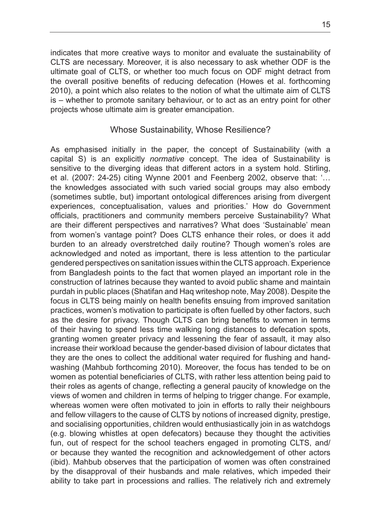indicates that more creative ways to monitor and evaluate the sustainability of CLTS are necessary. Moreover, it is also necessary to ask whether ODF is the ultimate goal of CLTS, or whether too much focus on ODF might detract from the overall positive benefits of reducing defecation (Howes et al. forthcoming 2010), a point which also relates to the notion of what the ultimate aim of CLTS is – whether to promote sanitary behaviour, or to act as an entry point for other projects whose ultimate aim is greater emancipation.

#### Whose Sustainability, Whose Resilience?

As emphasised initially in the paper, the concept of Sustainability (with a capital S) is an explicitly *normative* concept. The idea of Sustainability is sensitive to the diverging ideas that different actors in a system hold. Stirling, et al. (2007: 24-25) citing Wynne 2001 and Feenberg 2002, observe that: '… the knowledges associated with such varied social groups may also embody (sometimes subtle, but) important ontological differences arising from divergent experiences, conceptualisation, values and priorities.' How do Government officials, practitioners and community members perceive Sustainability? What are their different perspectives and narratives? What does 'Sustainable' mean from women's vantage point? Does CLTS enhance their roles, or does it add burden to an already overstretched daily routine? Though women's roles are acknowledged and noted as important, there is less attention to the particular gendered perspectives on sanitation issues within the CLTS approach. Experience from Bangladesh points to the fact that women played an important role in the construction of latrines because they wanted to avoid public shame and maintain purdah in public places (Shatifan and Haq writeshop note, May 2008). Despite the focus in CLTS being mainly on health benefits ensuing from improved sanitation practices, women's motivation to participate is often fuelled by other factors, such as the desire for privacy. Though CLTS can bring benefits to women in terms of their having to spend less time walking long distances to defecation spots, granting women greater privacy and lessening the fear of assault, it may also increase their workload because the gender-based division of labour dictates that they are the ones to collect the additional water required for flushing and handwashing (Mahbub forthcoming 2010). Moreover, the focus has tended to be on women as potential beneficiaries of CLTS, with rather less attention being paid to their roles as agents of change, reflecting a general paucity of knowledge on the views of women and children in terms of helping to trigger change. For example, whereas women were often motivated to join in efforts to rally their neighbours and fellow villagers to the cause of CLTS by notions of increased dignity, prestige, and socialising opportunities, children would enthusiastically join in as watchdogs (e.g. blowing whistles at open defecators) because they thought the activities fun, out of respect for the school teachers engaged in promoting CLTS, and/ or because they wanted the recognition and acknowledgement of other actors (ibid). Mahbub observes that the participation of women was often constrained by the disapproval of their husbands and male relatives, which impeded their ability to take part in processions and rallies. The relatively rich and extremely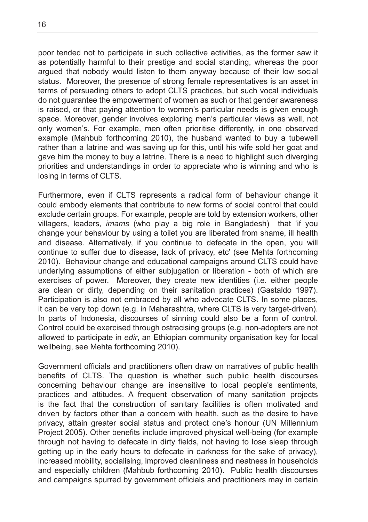poor tended not to participate in such collective activities, as the former saw it as potentially harmful to their prestige and social standing, whereas the poor argued that nobody would listen to them anyway because of their low social status. Moreover, the presence of strong female representatives is an asset in terms of persuading others to adopt CLTS practices, but such vocal individuals do not guarantee the empowerment of women as such or that gender awareness is raised, or that paying attention to women's particular needs is given enough space. Moreover, gender involves exploring men's particular views as well, not only women's. For example, men often prioritise differently, in one observed example (Mahbub forthcoming 2010), the husband wanted to buy a tubewell rather than a latrine and was saving up for this, until his wife sold her goat and gave him the money to buy a latrine. There is a need to highlight such diverging priorities and understandings in order to appreciate who is winning and who is losing in terms of CLTS.

Furthermore, even if CLTS represents a radical form of behaviour change it could embody elements that contribute to new forms of social control that could exclude certain groups. For example, people are told by extension workers, other villagers, leaders, *imams* (who play a big role in Bangladesh) that 'if you change your behaviour by using a toilet you are liberated from shame, ill health and disease. Alternatively, if you continue to defecate in the open, you will continue to suffer due to disease, lack of privacy, etc' (see Mehta forthcoming 2010). Behaviour change and educational campaigns around CLTS could have underlying assumptions of either subjugation or liberation - both of which are exercises of power. Moreover, they create new identities (i.e. either people are clean or dirty, depending on their sanitation practices) (Gastaldo 1997). Participation is also not embraced by all who advocate CLTS. In some places, it can be very top down (e.g. in Maharashtra, where CLTS is very target-driven). In parts of Indonesia, discourses of sinning could also be a form of control. Control could be exercised through ostracising groups (e.g. non-adopters are not allowed to participate in *edir*, an Ethiopian community organisation key for local wellbeing, see Mehta forthcoming 2010).

Government officials and practitioners often draw on narratives of public health benefits of CLTS. The question is whether such public health discourses concerning behaviour change are insensitive to local people's sentiments, practices and attitudes. A frequent observation of many sanitation projects is the fact that the construction of sanitary facilities is often motivated and driven by factors other than a concern with health, such as the desire to have privacy, attain greater social status and protect one's honour (UN Millennium Project 2005). Other benefits include improved physical well-being (for example through not having to defecate in dirty fields, not having to lose sleep through getting up in the early hours to defecate in darkness for the sake of privacy), increased mobility, socialising, improved cleanliness and neatness in households and especially children (Mahbub forthcoming 2010). Public health discourses and campaigns spurred by government officials and practitioners may in certain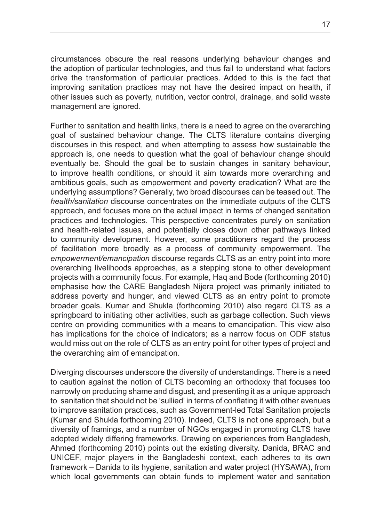circumstances obscure the real reasons underlying behaviour changes and the adoption of particular technologies, and thus fail to understand what factors drive the transformation of particular practices. Added to this is the fact that improving sanitation practices may not have the desired impact on health, if other issues such as poverty, nutrition, vector control, drainage, and solid waste management are ignored.

Further to sanitation and health links, there is a need to agree on the overarching goal of sustained behaviour change. The CLTS literature contains diverging discourses in this respect, and when attempting to assess how sustainable the approach is, one needs to question what the goal of behaviour change should eventually be. Should the goal be to sustain changes in sanitary behaviour, to improve health conditions, or should it aim towards more overarching and ambitious goals, such as empowerment and poverty eradication? What are the underlying assumptions? Generally, two broad discourses can be teased out. The *health/sanitation* discourse concentrates on the immediate outputs of the CLTS approach, and focuses more on the actual impact in terms of changed sanitation practices and technologies. This perspective concentrates purely on sanitation and health-related issues, and potentially closes down other pathways linked to community development. However, some practitioners regard the process of facilitation more broadly as a process of community empowerment. The *empowerment/emancipation* discourse regards CLTS as an entry point into more overarching livelihoods approaches, as a stepping stone to other development projects with a community focus. For example, Haq and Bode (forthcoming 2010) emphasise how the CARE Bangladesh Nijera project was primarily initiated to address poverty and hunger, and viewed CLTS as an entry point to promote broader goals. Kumar and Shukla (forthcoming 2010) also regard CLTS as a springboard to initiating other activities, such as garbage collection. Such views centre on providing communities with a means to emancipation. This view also has implications for the choice of indicators; as a narrow focus on ODF status would miss out on the role of CLTS as an entry point for other types of project and the overarching aim of emancipation.

Diverging discourses underscore the diversity of understandings. There is a need to caution against the notion of CLTS becoming an orthodoxy that focuses too narrowly on producing shame and disgust, and presenting it as a unique approach to sanitation that should not be 'sullied' in terms of conflating it with other avenues to improve sanitation practices, such as Government-led Total Sanitation projects (Kumar and Shukla forthcoming 2010). Indeed, CLTS is not one approach, but a diversity of framings, and a number of NGOs engaged in promoting CLTS have adopted widely differing frameworks. Drawing on experiences from Bangladesh, Ahmed (forthcoming 2010) points out the existing diversity. Danida, BRAC and UNICEF, major players in the Bangladeshi context, each adheres to its own framework – Danida to its hygiene, sanitation and water project (HYSAWA), from which local governments can obtain funds to implement water and sanitation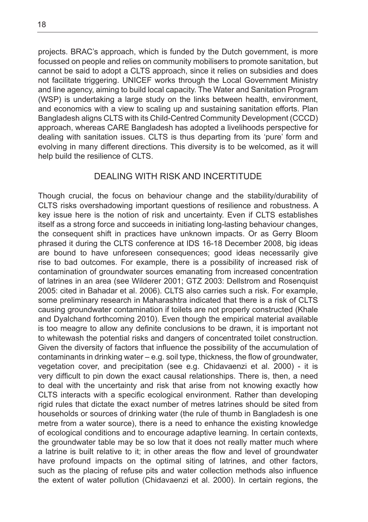projects. BRAC's approach, which is funded by the Dutch government, is more focussed on people and relies on community mobilisers to promote sanitation, but cannot be said to adopt a CLTS approach, since it relies on subsidies and does not facilitate triggering. UNICEF works through the Local Government Ministry and line agency, aiming to build local capacity. The Water and Sanitation Program (WSP) is undertaking a large study on the links between health, environment, and economics with a view to scaling up and sustaining sanitation efforts. Plan Bangladesh aligns CLTS with its Child-Centred Community Development (CCCD) approach, whereas CARE Bangladesh has adopted a livelihoods perspective for dealing with sanitation issues. CLTS is thus departing from its 'pure' form and evolving in many different directions. This diversity is to be welcomed, as it will help build the resilience of CLTS.

#### DEALING WITH RISK AND INCERTITUDE

Though crucial, the focus on behaviour change and the stability/durability of CLTS risks overshadowing important questions of resilience and robustness. A key issue here is the notion of risk and uncertainty. Even if CLTS establishes itself as a strong force and succeeds in initiating long-lasting behaviour changes, the consequent shift in practices have unknown impacts. Or as Gerry Bloom phrased it during the CLTS conference at IDS 16-18 December 2008, big ideas are bound to have unforeseen consequences; good ideas necessarily give rise to bad outcomes. For example, there is a possibility of increased risk of contamination of groundwater sources emanating from increased concentration of latrines in an area (see Wilderer 2001; GTZ 2003: Dellstrom and Rosenquist 2005: cited in Bahadar et al. 2006). CLTS also carries such a risk. For example, some preliminary research in Maharashtra indicated that there is a risk of CLTS causing groundwater contamination if toilets are not properly constructed (Khale and Dyalchand forthcoming 2010). Even though the empirical material available is too meagre to allow any definite conclusions to be drawn, it is important not to whitewash the potential risks and dangers of concentrated toilet construction. Given the diversity of factors that influence the possibility of the accumulation of contaminants in drinking water – e.g. soil type, thickness, the flow of groundwater, vegetation cover, and precipitation (see e.g. Chidavaenzi et al. 2000) - it is very difficult to pin down the exact causal relationships. There is, then, a need to deal with the uncertainty and risk that arise from not knowing exactly how CLTS interacts with a specific ecological environment. Rather than developing rigid rules that dictate the exact number of metres latrines should be sited from households or sources of drinking water (the rule of thumb in Bangladesh is one metre from a water source), there is a need to enhance the existing knowledge of ecological conditions and to encourage adaptive learning. In certain contexts, the groundwater table may be so low that it does not really matter much where a latrine is built relative to it; in other areas the flow and level of groundwater have profound impacts on the optimal siting of latrines, and other factors, such as the placing of refuse pits and water collection methods also influence the extent of water pollution (Chidavaenzi et al. 2000). In certain regions, the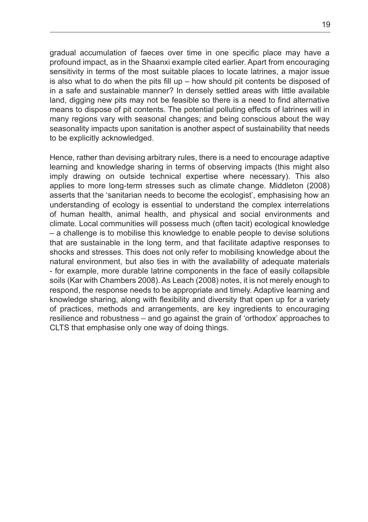gradual accumulation of faeces over time in one specific place may have a profound impact, as in the Shaanxi example cited earlier. Apart from encouraging sensitivity in terms of the most suitable places to locate latrines, a major issue is also what to do when the pits fill up  $-$  how should pit contents be disposed of in a safe and sustainable manner? In densely settled areas with little available land, digging new pits may not be feasible so there is a need to find alternative means to dispose of pit contents. The potential polluting effects of latrines will in many regions vary with seasonal changes; and being conscious about the way seasonality impacts upon sanitation is another aspect of sustainability that needs to be explicitly acknowledged.

Hence, rather than devising arbitrary rules, there is a need to encourage adaptive learning and knowledge sharing in terms of observing impacts (this might also imply drawing on outside technical expertise where necessary). This also applies to more long-term stresses such as climate change. Middleton (2008) asserts that the 'sanitarian needs to become the ecologist', emphasising how an understanding of ecology is essential to understand the complex interrelations of human health, animal health, and physical and social environments and climate. Local communities will possess much (often tacit) ecological knowledge – a challenge is to mobilise this knowledge to enable people to devise solutions that are sustainable in the long term, and that facilitate adaptive responses to shocks and stresses. This does not only refer to mobilising knowledge about the natural environment, but also ties in with the availability of adequate materials - for example, more durable latrine components in the face of easily collapsible soils (Kar with Chambers 2008). As Leach (2008) notes, it is not merely enough to respond, the response needs to be appropriate and timely. Adaptive learning and knowledge sharing, along with flexibility and diversity that open up for a variety of practices, methods and arrangements, are key ingredients to encouraging resilience and robustness – and go against the grain of 'orthodox' approaches to CLTS that emphasise only one way of doing things.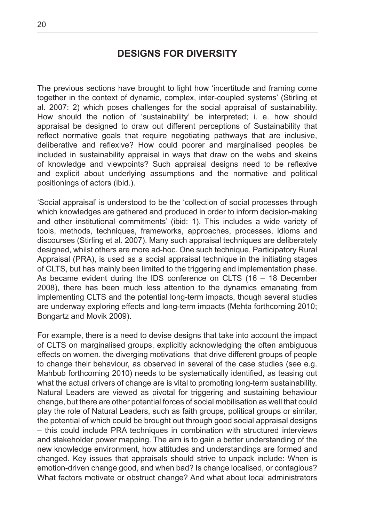#### **DESIGNS FOR DIVERSITY**

The previous sections have brought to light how 'incertitude and framing come together in the context of dynamic, complex, inter-coupled systems' (Stirling et al. 2007: 2) which poses challenges for the social appraisal of sustainability. How should the notion of 'sustainability' be interpreted; i. e. how should appraisal be designed to draw out different perceptions of Sustainability that reflect normative goals that require negotiating pathways that are inclusive, deliberative and reflexive? How could poorer and marginalised peoples be included in sustainability appraisal in ways that draw on the webs and skeins of knowledge and viewpoints? Such appraisal designs need to be reflexive and explicit about underlying assumptions and the normative and political positionings of actors (ibid.).

'Social appraisal' is understood to be the 'collection of social processes through which knowledges are gathered and produced in order to inform decision-making and other institutional commitments' (ibid: 1). This includes a wide variety of tools, methods, techniques, frameworks, approaches, processes, idioms and discourses (Stirling et al. 2007). Many such appraisal techniques are deliberately designed, whilst others are more ad-hoc. One such technique, Participatory Rural Appraisal (PRA), is used as a social appraisal technique in the initiating stages of CLTS, but has mainly been limited to the triggering and implementation phase. As became evident during the IDS conference on CLTS (16 – 18 December 2008), there has been much less attention to the dynamics emanating from implementing CLTS and the potential long-term impacts, though several studies are underway exploring effects and long-term impacts (Mehta forthcoming 2010; Bongartz and Movik 2009).

For example, there is a need to devise designs that take into account the impact of CLTS on marginalised groups, explicitly acknowledging the often ambiguous effects on women. the diverging motivations that drive different groups of people to change their behaviour, as observed in several of the case studies (see e.g. Mahbub forthcoming 2010) needs to be systematically identified, as teasing out what the actual drivers of change are is vital to promoting long-term sustainability. Natural Leaders are viewed as pivotal for triggering and sustaining behaviour change, but there are other potential forces of social mobilisation as well that could play the role of Natural Leaders, such as faith groups, political groups or similar, the potential of which could be brought out through good social appraisal designs – this could include PRA techniques in combination with structured interviews and stakeholder power mapping. The aim is to gain a better understanding of the new knowledge environment, how attitudes and understandings are formed and changed. Key issues that appraisals should strive to unpack include: When is emotion-driven change good, and when bad? Is change localised, or contagious? What factors motivate or obstruct change? And what about local administrators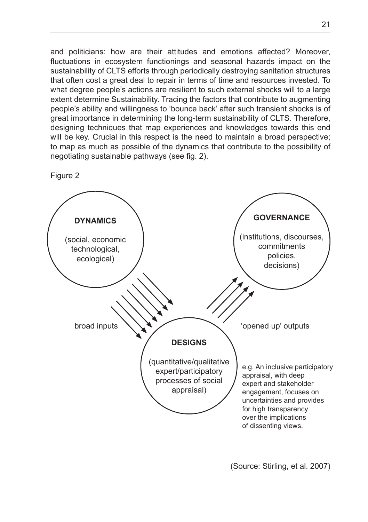and politicians: how are their attitudes and emotions affected? Moreover, fluctuations in ecosystem functionings and seasonal hazards impact on the sustainability of CLTS efforts through periodically destroying sanitation structures that often cost a great deal to repair in terms of time and resources invested. To what degree people's actions are resilient to such external shocks will to a large extent determine Sustainability. Tracing the factors that contribute to augmenting people's ability and willingness to 'bounce back' after such transient shocks is of great importance in determining the long-term sustainability of CLTS. Therefore, designing techniques that map experiences and knowledges towards this end will be key. Crucial in this respect is the need to maintain a broad perspective; to map as much as possible of the dynamics that contribute to the possibility of negotiating sustainable pathways (see fig. 2).

Figure 2



(Source: Stirling, et al. 2007)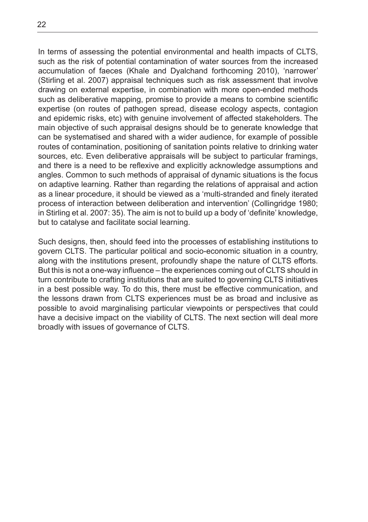In terms of assessing the potential environmental and health impacts of CLTS, such as the risk of potential contamination of water sources from the increased accumulation of faeces (Khale and Dyalchand forthcoming 2010), 'narrower' (Stirling et al. 2007) appraisal techniques such as risk assessment that involve drawing on external expertise, in combination with more open-ended methods such as deliberative mapping, promise to provide a means to combine scientific expertise (on routes of pathogen spread, disease ecology aspects, contagion and epidemic risks, etc) with genuine involvement of affected stakeholders. The main objective of such appraisal designs should be to generate knowledge that can be systematised and shared with a wider audience, for example of possible routes of contamination, positioning of sanitation points relative to drinking water sources, etc. Even deliberative appraisals will be subject to particular framings, and there is a need to be reflexive and explicitly acknowledge assumptions and angles. Common to such methods of appraisal of dynamic situations is the focus on adaptive learning. Rather than regarding the relations of appraisal and action as a linear procedure, it should be viewed as a 'multi-stranded and finely iterated process of interaction between deliberation and intervention' (Collingridge 1980; in Stirling et al. 2007: 35). The aim is not to build up a body of 'definite' knowledge, but to catalyse and facilitate social learning.

Such designs, then, should feed into the processes of establishing institutions to govern CLTS. The particular political and socio-economic situation in a country, along with the institutions present, profoundly shape the nature of CLTS efforts. But this is not a one-way influence – the experiences coming out of CLTS should in turn contribute to crafting institutions that are suited to governing CLTS initiatives in a best possible way. To do this, there must be effective communication, and the lessons drawn from CLTS experiences must be as broad and inclusive as possible to avoid marginalising particular viewpoints or perspectives that could have a decisive impact on the viability of CLTS. The next section will deal more broadly with issues of governance of CLTS.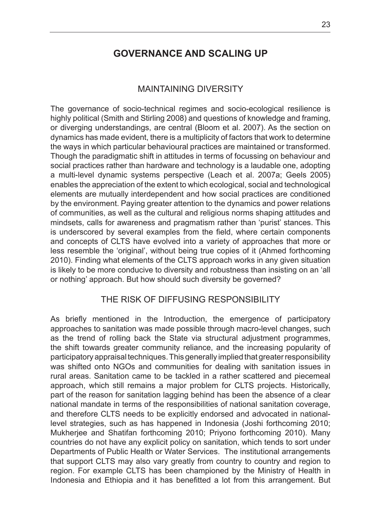#### **GOVERNANCE AND SCALING UP**

#### MAINTAINING DIVERSITY

The governance of socio-technical regimes and socio-ecological resilience is highly political (Smith and Stirling 2008) and questions of knowledge and framing, or diverging understandings, are central (Bloom et al. 2007). As the section on dynamics has made evident, there is a multiplicity of factors that work to determine the ways in which particular behavioural practices are maintained or transformed. Though the paradigmatic shift in attitudes in terms of focussing on behaviour and social practices rather than hardware and technology is a laudable one, adopting a multi-level dynamic systems perspective (Leach et al. 2007a; Geels 2005) enables the appreciation of the extent to which ecological, social and technological elements are mutually interdependent and how social practices are conditioned by the environment. Paying greater attention to the dynamics and power relations of communities, as well as the cultural and religious norms shaping attitudes and mindsets, calls for awareness and pragmatism rather than 'purist' stances. This is underscored by several examples from the field, where certain components and concepts of CLTS have evolved into a variety of approaches that more or less resemble the 'original', without being true copies of it (Ahmed forthcoming 2010). Finding what elements of the CLTS approach works in any given situation is likely to be more conducive to diversity and robustness than insisting on an 'all or nothing' approach. But how should such diversity be governed?

#### THE RISK OF DIFFUSING RESPONSIBILITY

As briefly mentioned in the Introduction, the emergence of participatory approaches to sanitation was made possible through macro-level changes, such as the trend of rolling back the State via structural adjustment programmes, the shift towards greater community reliance, and the increasing popularity of participatory appraisal techniques. This generally implied that greater responsibility was shifted onto NGOs and communities for dealing with sanitation issues in rural areas. Sanitation came to be tackled in a rather scattered and piecemeal approach, which still remains a major problem for CLTS projects. Historically, part of the reason for sanitation lagging behind has been the absence of a clear national mandate in terms of the responsibilities of national sanitation coverage, and therefore CLTS needs to be explicitly endorsed and advocated in nationallevel strategies, such as has happened in Indonesia (Joshi forthcoming 2010; Mukherjee and Shatifan forthcoming 2010; Priyono forthcoming 2010). Many countries do not have any explicit policy on sanitation, which tends to sort under Departments of Public Health or Water Services. The institutional arrangements that support CLTS may also vary greatly from country to country and region to region. For example CLTS has been championed by the Ministry of Health in Indonesia and Ethiopia and it has benefitted a lot from this arrangement. But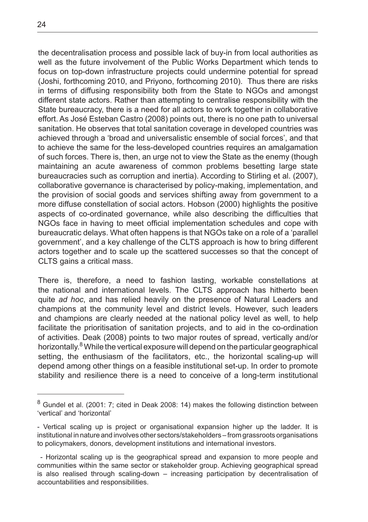the decentralisation process and possible lack of buy-in from local authorities as well as the future involvement of the Public Works Department which tends to focus on top-down infrastructure projects could undermine potential for spread (Joshi, forthcoming 2010, and Priyono, forthcoming 2010). Thus there are risks in terms of diffusing responsibility both from the State to NGOs and amongst different state actors. Rather than attempting to centralise responsibility with the State bureaucracy, there is a need for all actors to work together in collaborative effort. As José Esteban Castro (2008) points out, there is no one path to universal sanitation. He observes that total sanitation coverage in developed countries was achieved through a 'broad and universalistic ensemble of social forces', and that to achieve the same for the less-developed countries requires an amalgamation of such forces. There is, then, an urge not to view the State as the enemy (though maintaining an acute awareness of common problems besetting large state bureaucracies such as corruption and inertia). According to Stirling et al. (2007), collaborative governance is characterised by policy-making, implementation, and the provision of social goods and services shifting away from government to a more diffuse constellation of social actors. Hobson (2000) highlights the positive aspects of co-ordinated governance, while also describing the difficulties that NGOs face in having to meet official implementation schedules and cope with bureaucratic delays. What often happens is that NGOs take on a role of a 'parallel government', and a key challenge of the CLTS approach is how to bring different actors together and to scale up the scattered successes so that the concept of CLTS gains a critical mass.

There is, therefore, a need to fashion lasting, workable constellations at the national and international levels. The CLTS approach has hitherto been quite *ad hoc*, and has relied heavily on the presence of Natural Leaders and champions at the community level and district levels. However, such leaders and champions are clearly needed at the national policy level as well, to help facilitate the prioritisation of sanitation projects, and to aid in the co-ordination of activities. Deak (2008) points to two major routes of spread, vertically and/or horizontally.<sup>8</sup> While the vertical exposure will depend on the particular geographical setting, the enthusiasm of the facilitators, etc., the horizontal scaling-up will depend among other things on a feasible institutional set-up. In order to promote stability and resilience there is a need to conceive of a long-term institutional

 $8$  Gundel et al. (2001: 7; cited in Deak 2008: 14) makes the following distinction between 'vertical' and 'horizontal'

<sup>-</sup> Vertical scaling up is project or organisational expansion higher up the ladder. It is institutional in nature and involves other sectors/stakeholders – from grassroots organisations to policymakers, donors, development institutions and international investors.

 <sup>-</sup> Horizontal scaling up is the geographical spread and expansion to more people and communities within the same sector or stakeholder group. Achieving geographical spread is also realised through scaling-down – increasing participation by decentralisation of accountabilities and responsibilities.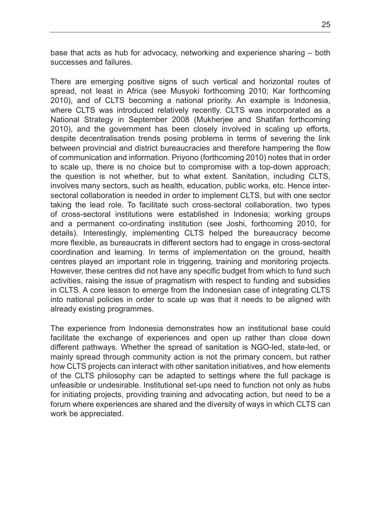base that acts as hub for advocacy, networking and experience sharing – both successes and failures.

There are emerging positive signs of such vertical and horizontal routes of spread, not least in Africa (see Musyoki forthcoming 2010; Kar forthcoming 2010), and of CLTS becoming a national priority. An example is Indonesia, where CLTS was introduced relatively recently. CLTS was incorporated as a National Strategy in September 2008 (Mukherjee and Shatifan forthcoming 2010), and the government has been closely involved in scaling up efforts, despite decentralisation trends posing problems in terms of severing the link between provincial and district bureaucracies and therefore hampering the flow of communication and information. Priyono (forthcoming 2010) notes that in order to scale up, there is no choice but to compromise with a top-down approach; the question is not whether, but to what extent. Sanitation, including CLTS, involves many sectors, such as health, education, public works, etc. Hence intersectoral collaboration is needed in order to implement CLTS, but with one sector taking the lead role. To facilitate such cross-sectoral collaboration, two types of cross-sectoral institutions were established in Indonesia; working groups and a permanent co-ordinating institution (see Joshi, forthcoming 2010, for details). Interestingly, implementing CLTS helped the bureaucracy become more flexible, as bureaucrats in different sectors had to engage in cross-sectoral coordination and learning. In terms of implementation on the ground, health centres played an important role in triggering, training and monitoring projects. However, these centres did not have any specific budget from which to fund such activities, raising the issue of pragmatism with respect to funding and subsidies in CLTS. A core lesson to emerge from the Indonesian case of integrating CLTS into national policies in order to scale up was that it needs to be aligned with already existing programmes.

The experience from Indonesia demonstrates how an institutional base could facilitate the exchange of experiences and open up rather than close down different pathways. Whether the spread of sanitation is NGO-led, state-led, or mainly spread through community action is not the primary concern, but rather how CLTS projects can interact with other sanitation initiatives, and how elements of the CLTS philosophy can be adapted to settings where the full package is unfeasible or undesirable. Institutional set-ups need to function not only as hubs for initiating projects, providing training and advocating action, but need to be a forum where experiences are shared and the diversity of ways in which CLTS can work be appreciated.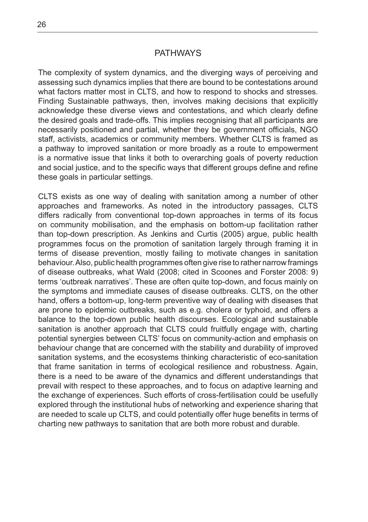#### **PATHWAYS**

The complexity of system dynamics, and the diverging ways of perceiving and assessing such dynamics implies that there are bound to be contestations around what factors matter most in CLTS, and how to respond to shocks and stresses. Finding Sustainable pathways, then, involves making decisions that explicitly acknowledge these diverse views and contestations, and which clearly define the desired goals and trade-offs. This implies recognising that all participants are necessarily positioned and partial, whether they be government officials, NGO staff, activists, academics or community members. Whether CLTS is framed as a pathway to improved sanitation or more broadly as a route to empowerment is a normative issue that links it both to overarching goals of poverty reduction and social justice, and to the specific ways that different groups define and refine these goals in particular settings.

CLTS exists as one way of dealing with sanitation among a number of other approaches and frameworks. As noted in the introductory passages, CLTS differs radically from conventional top-down approaches in terms of its focus on community mobilisation, and the emphasis on bottom-up facilitation rather than top-down prescription. As Jenkins and Curtis (2005) argue, public health programmes focus on the promotion of sanitation largely through framing it in terms of disease prevention, mostly failing to motivate changes in sanitation behaviour. Also, public health programmes often give rise to rather narrow framings of disease outbreaks, what Wald (2008; cited in Scoones and Forster 2008: 9) terms 'outbreak narratives'. These are often quite top-down, and focus mainly on the symptoms and immediate causes of disease outbreaks. CLTS, on the other hand, offers a bottom-up, long-term preventive way of dealing with diseases that are prone to epidemic outbreaks, such as e.g. cholera or typhoid, and offers a balance to the top-down public health discourses. Ecological and sustainable sanitation is another approach that CLTS could fruitfully engage with, charting potential synergies between CLTS' focus on community-action and emphasis on behaviour change that are concerned with the stability and durability of improved sanitation systems, and the ecosystems thinking characteristic of eco-sanitation that frame sanitation in terms of ecological resilience and robustness. Again, there is a need to be aware of the dynamics and different understandings that prevail with respect to these approaches, and to focus on adaptive learning and the exchange of experiences. Such efforts of cross-fertilisation could be usefully explored through the institutional hubs of networking and experience sharing that are needed to scale up CLTS, and could potentially offer huge benefits in terms of charting new pathways to sanitation that are both more robust and durable.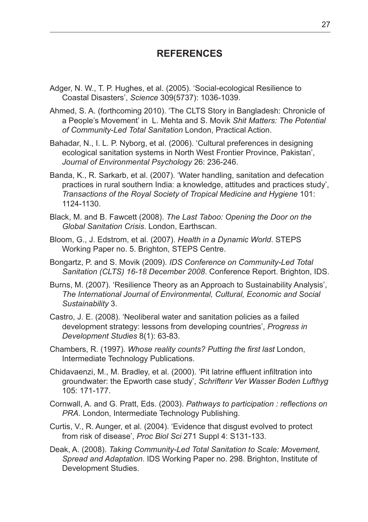#### **REFERENCES**

- Adger, N. W., T. P. Hughes, et al. (2005). 'Social-ecological Resilience to Coastal Disasters', *Science* 309(5737): 1036-1039.
- Ahmed, S. A. (forthcoming 2010). 'The CLTS Story in Bangladesh: Chronicle of a People's Movement' in L. Mehta and S. Movik *Shit Matters: The Potential of Community-Led Total Sanitation* London, Practical Action.
- Bahadar, N., I. L. P. Nyborg, et al. (2006). 'Cultural preferences in designing ecological sanitation systems in North West Frontier Province, Pakistan', *Journal of Environmental Psychology* 26: 236-246.
- Banda, K., R. Sarkarb, et al. (2007). 'Water handling, sanitation and defecation practices in rural southern India: a knowledge, attitudes and practices study', *Transactions of the Royal Society of Tropical Medicine and Hygiene* 101: 1124-1130.
- Black, M. and B. Fawcett (2008). *The Last Taboo: Opening the Door on the Global Sanitation Crisis*. London, Earthscan.
- Bloom, G., J. Edstrom, et al. (2007). *Health in a Dynamic World*. STEPS Working Paper no. 5. Brighton, STEPS Centre.
- Bongartz, P. and S. Movik (2009). *IDS Conference on Community-Led Total Sanitation (CLTS) 16-18 December 2008*. Conference Report. Brighton, IDS.
- Burns, M. (2007). 'Resilience Theory as an Approach to Sustainability Analysis', *The International Journal of Environmental, Cultural, Economic and Social Sustainability* 3.
- Castro, J. E. (2008). 'Neoliberal water and sanitation policies as a failed development strategy: lessons from developing countries', *Progress in Development Studies* 8(1): 63-83.
- Chambers, R. (1997). *Whose reality counts? Putting the first last* London, Intermediate Technology Publications.
- Chidavaenzi, M., M. Bradley, et al. (2000). 'Pit latrine effluent infiltration into groundwater: the Epworth case study', *Schriftenr Ver Wasser Boden Lufthyg* 105: 171-177.
- Cornwall, A. and G. Pratt, Eds. (2003). *Pathways to participation : reflections on PRA*. London, Intermediate Technology Publishing.
- Curtis, V., R. Aunger, et al. (2004). 'Evidence that disgust evolved to protect from risk of disease', *Proc Biol Sci* 271 Suppl 4: S131-133.
- Deak, A. (2008). *Taking Community-Led Total Sanitation to Scale: Movement, Spread and Adaptation*. IDS Working Paper no. 298. Brighton, Institute of Development Studies.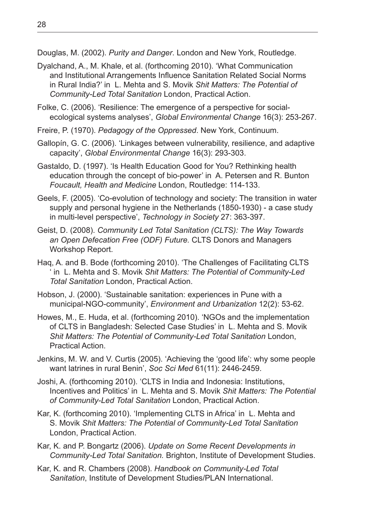Douglas, M. (2002). *Purity and Danger*. London and New York, Routledge.

- Dyalchand, A., M. Khale, et al. (forthcoming 2010). 'What Communication and Institutional Arrangements Influence Sanitation Related Social Norms in Rural India?' in L. Mehta and S. Movik *Shit Matters: The Potential of Community-Led Total Sanitation* London, Practical Action.
- Folke, C. (2006). 'Resilience: The emergence of a perspective for socialecological systems analyses', *Global Environmental Change* 16(3): 253-267.
- Freire, P. (1970). *Pedagogy of the Oppressed*. New York, Continuum.
- Gallopín, G. C. (2006). 'Linkages between vulnerability, resilience, and adaptive capacity', *Global Environmental Change* 16(3): 293-303.
- Gastaldo, D. (1997). 'Is Health Education Good for You? Rethinking health education through the concept of bio-power' in A. Petersen and R. Bunton *Foucault, Health and Medicine* London, Routledge: 114-133.
- Geels, F. (2005). 'Co-evolution of technology and society: The transition in water supply and personal hygiene in the Netherlands (1850-1930) - a case study in multi-level perspective', *Technology in Society* 27: 363-397.
- Geist, D. (2008). *Community Led Total Sanitation (CLTS): The Way Towards an Open Defecation Free (ODF) Future.* CLTS Donors and Managers Workshop Report.
- Haq, A. and B. Bode (forthcoming 2010). 'The Challenges of Facilitating CLTS ' in L. Mehta and S. Movik *Shit Matters: The Potential of Community-Led Total Sanitation* London, Practical Action.
- Hobson, J. (2000). 'Sustainable sanitation: experiences in Pune with a municipal-NGO-community', *Environment and Urbanization* 12(2): 53-62.
- Howes, M., E. Huda, et al. (forthcoming 2010). 'NGOs and the implementation of CLTS in Bangladesh: Selected Case Studies' in L. Mehta and S. Movik *Shit Matters: The Potential of Community-Led Total Sanitation* London, Practical Action.
- Jenkins, M. W. and V. Curtis (2005). 'Achieving the 'good life': why some people want latrines in rural Benin', *Soc Sci Med* 61(11): 2446-2459.
- Joshi, A. (forthcoming 2010). 'CLTS in India and Indonesia: Institutions, Incentives and Politics' in L. Mehta and S. Movik *Shit Matters: The Potential of Community-Led Total Sanitation* London, Practical Action.
- Kar, K. (forthcoming 2010). 'Implementing CLTS in Africa' in L. Mehta and S. Movik *Shit Matters: The Potential of Community-Led Total Sanitation*  London, Practical Action.
- Kar, K. and P. Bongartz (2006). *Update on Some Recent Developments in Community-Led Total Sanitation.* Brighton, Institute of Development Studies.
- Kar, K. and R. Chambers (2008). *Handbook on Community-Led Total Sanitation*, Institute of Development Studies/PLAN International.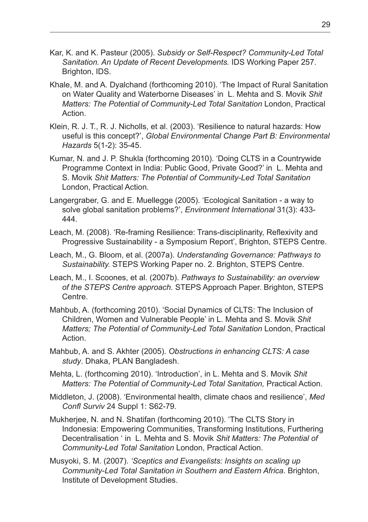- Kar, K. and K. Pasteur (2005). *Subsidy or Self-Respect? Community-Led Total Sanitation. An Update of Recent Developments.* IDS Working Paper 257. Brighton, IDS.
- Khale, M. and A. Dyalchand (forthcoming 2010). 'The Impact of Rural Sanitation on Water Quality and Waterborne Diseases' in L. Mehta and S. Movik *Shit Matters: The Potential of Community-Led Total Sanitation* London, Practical Action.
- Klein, R. J. T., R. J. Nicholls, et al. (2003). 'Resilience to natural hazards: How useful is this concept?', *Global Environmental Change Part B: Environmental Hazards* 5(1-2): 35-45.
- Kumar, N. and J. P. Shukla (forthcoming 2010). 'Doing CLTS in a Countrywide Programme Context in India: Public Good, Private Good?' in L. Mehta and S. Movik *Shit Matters: The Potential of Community-Led Total Sanitation* London, Practical Action.
- Langergraber, G. and E. Muellegge (2005). 'Ecological Sanitation a way to solve global sanitation problems?', *Environment International* 31(3): 433- 444.
- Leach, M. (2008). 'Re-framing Resilience: Trans-disciplinarity, Reflexivity and Progressive Sustainability - a Symposium Report', Brighton, STEPS Centre.
- Leach, M., G. Bloom, et al. (2007a). *Understanding Governance: Pathways to Sustainability.* STEPS Working Paper no. 2. Brighton, STEPS Centre.
- Leach, M., I. Scoones, et al. (2007b). *Pathways to Sustainability: an overview of the STEPS Centre approach.* STEPS Approach Paper. Brighton, STEPS Centre.
- Mahbub, A. (forthcoming 2010). 'Social Dynamics of CLTS: The Inclusion of Children, Women and Vulnerable People' in L. Mehta and S. Movik *Shit Matters; The Potential of Community-Led Total Sanitation* London, Practical Action.
- Mahbub, A. and S. Akhter (2005). *Obstructions in enhancing CLTS: A case study*. Dhaka, PLAN Bangladesh.
- Mehta, L. (forthcoming 2010). 'Introduction', in L. Mehta and S. Movik *Shit Matters: The Potential of Community-Led Total Sanitation,* Practical Action.
- Middleton, J. (2008). 'Environmental health, climate chaos and resilience', *Med Confl Surviv* 24 Suppl 1: S62-79.
- Mukherjee, N. and N. Shatifan (forthcoming 2010). 'The CLTS Story in Indonesia: Empowering Communities, Transforming Institutions, Furthering Decentralisation ' in L. Mehta and S. Movik *Shit Matters: The Potential of Community-Led Total Sanitation* London, Practical Action.
- Musyoki, S. M. (2007). *'Sceptics and Evangelists: Insights on scaling up Community-Led Total Sanitation in Southern and Eastern Africa.* Brighton, Institute of Development Studies.